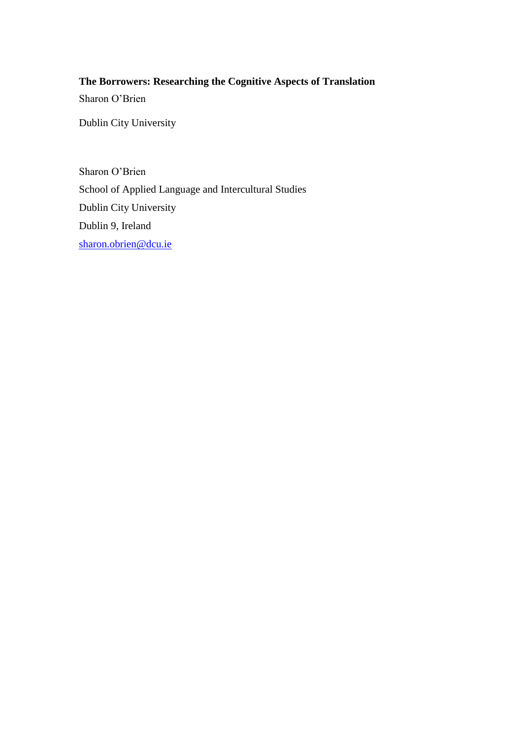## **The Borrowers: Researching the Cognitive Aspects of Translation**

Sharon O'Brien

Dublin City University

Sharon O'Brien School of Applied Language and Intercultural Studies Dublin City University Dublin 9, Ireland [sharon.obrien@dcu.ie](mailto:Sharon.obrien@dcu.ie)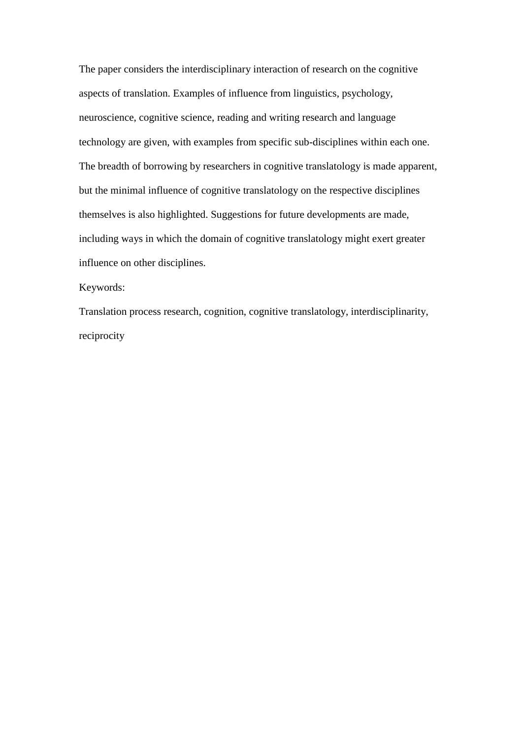The paper considers the interdisciplinary interaction of research on the cognitive aspects of translation. Examples of influence from linguistics, psychology, neuroscience, cognitive science, reading and writing research and language technology are given, with examples from specific sub-disciplines within each one. The breadth of borrowing by researchers in cognitive translatology is made apparent, but the minimal influence of cognitive translatology on the respective disciplines themselves is also highlighted. Suggestions for future developments are made, including ways in which the domain of cognitive translatology might exert greater influence on other disciplines.

## Keywords:

Translation process research, cognition, cognitive translatology, interdisciplinarity, reciprocity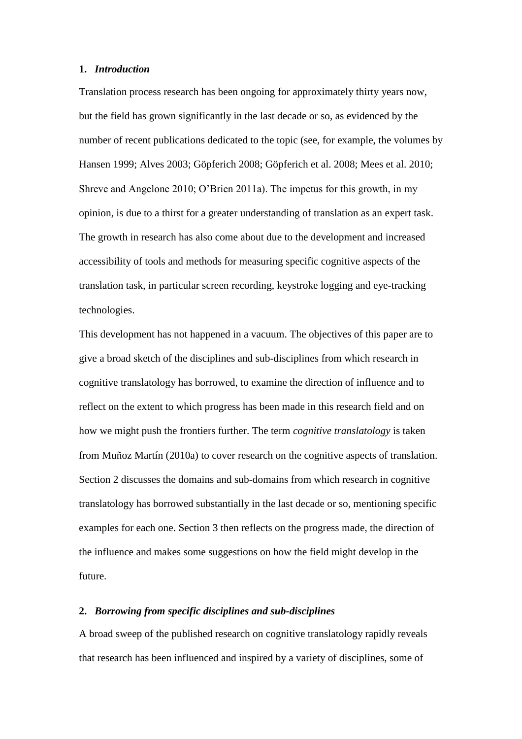#### **1.** *Introduction*

Translation process research has been ongoing for approximately thirty years now, but the field has grown significantly in the last decade or so, as evidenced by the number of recent publications dedicated to the topic (see, for example, the volumes by Hansen 1999; Alves 2003; Göpferich 2008; Göpferich et al. 2008; Mees et al. 2010; Shreve and Angelone 2010; O'Brien 2011a). The impetus for this growth, in my opinion, is due to a thirst for a greater understanding of translation as an expert task. The growth in research has also come about due to the development and increased accessibility of tools and methods for measuring specific cognitive aspects of the translation task, in particular screen recording, keystroke logging and eye-tracking technologies.

This development has not happened in a vacuum. The objectives of this paper are to give a broad sketch of the disciplines and sub-disciplines from which research in cognitive translatology has borrowed, to examine the direction of influence and to reflect on the extent to which progress has been made in this research field and on how we might push the frontiers further. The term *cognitive translatology* is taken from Muñoz Martín (2010a) to cover research on the cognitive aspects of translation. Section 2 discusses the domains and sub-domains from which research in cognitive translatology has borrowed substantially in the last decade or so, mentioning specific examples for each one. Section 3 then reflects on the progress made, the direction of the influence and makes some suggestions on how the field might develop in the future.

## **2.** *Borrowing from specific disciplines and sub-disciplines*

A broad sweep of the published research on cognitive translatology rapidly reveals that research has been influenced and inspired by a variety of disciplines, some of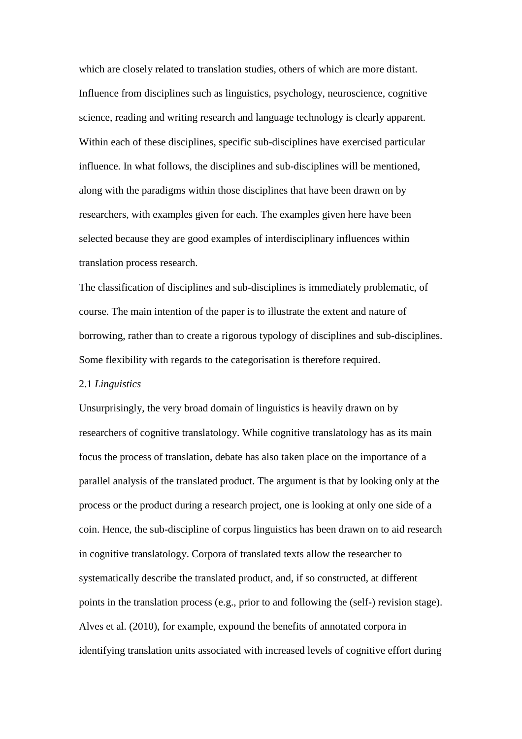which are closely related to translation studies, others of which are more distant. Influence from disciplines such as linguistics, psychology, neuroscience, cognitive science, reading and writing research and language technology is clearly apparent. Within each of these disciplines, specific sub-disciplines have exercised particular influence. In what follows, the disciplines and sub-disciplines will be mentioned, along with the paradigms within those disciplines that have been drawn on by researchers, with examples given for each. The examples given here have been selected because they are good examples of interdisciplinary influences within translation process research.

The classification of disciplines and sub-disciplines is immediately problematic, of course. The main intention of the paper is to illustrate the extent and nature of borrowing, rather than to create a rigorous typology of disciplines and sub-disciplines. Some flexibility with regards to the categorisation is therefore required.

#### 2.1 *Linguistics*

Unsurprisingly, the very broad domain of linguistics is heavily drawn on by researchers of cognitive translatology. While cognitive translatology has as its main focus the process of translation, debate has also taken place on the importance of a parallel analysis of the translated product. The argument is that by looking only at the process or the product during a research project, one is looking at only one side of a coin. Hence, the sub-discipline of corpus linguistics has been drawn on to aid research in cognitive translatology. Corpora of translated texts allow the researcher to systematically describe the translated product, and, if so constructed, at different points in the translation process (e.g., prior to and following the (self-) revision stage). Alves et al. (2010), for example, expound the benefits of annotated corpora in identifying translation units associated with increased levels of cognitive effort during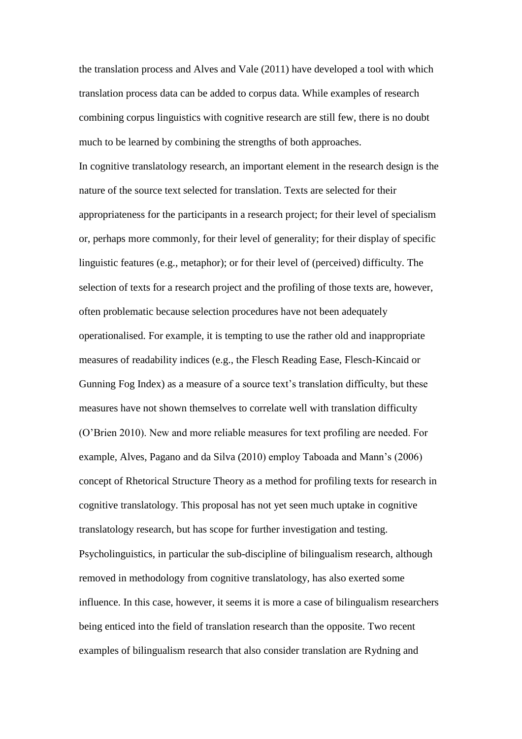the translation process and Alves and Vale (2011) have developed a tool with which translation process data can be added to corpus data. While examples of research combining corpus linguistics with cognitive research are still few, there is no doubt much to be learned by combining the strengths of both approaches.

In cognitive translatology research, an important element in the research design is the nature of the source text selected for translation. Texts are selected for their appropriateness for the participants in a research project; for their level of specialism or, perhaps more commonly, for their level of generality; for their display of specific linguistic features (e.g., metaphor); or for their level of (perceived) difficulty. The selection of texts for a research project and the profiling of those texts are, however, often problematic because selection procedures have not been adequately operationalised. For example, it is tempting to use the rather old and inappropriate measures of readability indices (e.g., the Flesch Reading Ease, Flesch-Kincaid or Gunning Fog Index) as a measure of a source text's translation difficulty, but these measures have not shown themselves to correlate well with translation difficulty (O'Brien 2010). New and more reliable measures for text profiling are needed. For example, Alves, Pagano and da Silva (2010) employ Taboada and Mann's (2006) concept of Rhetorical Structure Theory as a method for profiling texts for research in cognitive translatology. This proposal has not yet seen much uptake in cognitive translatology research, but has scope for further investigation and testing. Psycholinguistics, in particular the sub-discipline of bilingualism research, although removed in methodology from cognitive translatology, has also exerted some influence. In this case, however, it seems it is more a case of bilingualism researchers being enticed into the field of translation research than the opposite. Two recent examples of bilingualism research that also consider translation are Rydning and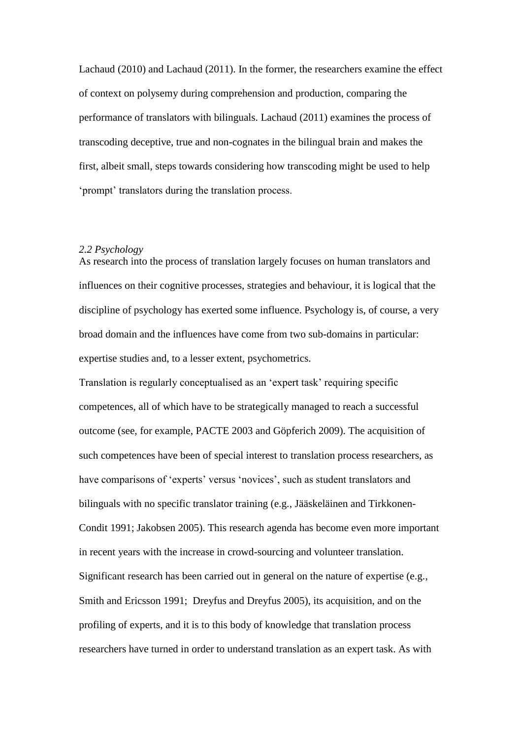Lachaud (2010) and Lachaud (2011). In the former, the researchers examine the effect of context on polysemy during comprehension and production, comparing the performance of translators with bilinguals. Lachaud (2011) examines the process of transcoding deceptive, true and non-cognates in the bilingual brain and makes the first, albeit small, steps towards considering how transcoding might be used to help 'prompt' translators during the translation process.

#### *2.2 Psychology*

As research into the process of translation largely focuses on human translators and influences on their cognitive processes, strategies and behaviour, it is logical that the discipline of psychology has exerted some influence. Psychology is, of course, a very broad domain and the influences have come from two sub-domains in particular: expertise studies and, to a lesser extent, psychometrics.

Translation is regularly conceptualised as an 'expert task' requiring specific competences, all of which have to be strategically managed to reach a successful outcome (see, for example, PACTE 2003 and Göpferich 2009). The acquisition of such competences have been of special interest to translation process researchers, as have comparisons of 'experts' versus 'novices', such as student translators and bilinguals with no specific translator training (e.g., Jääskeläinen and Tirkkonen-Condit 1991; Jakobsen 2005). This research agenda has become even more important in recent years with the increase in crowd-sourcing and volunteer translation. Significant research has been carried out in general on the nature of expertise (e.g., Smith and Ericsson 1991; Dreyfus and Dreyfus 2005), its acquisition, and on the profiling of experts, and it is to this body of knowledge that translation process researchers have turned in order to understand translation as an expert task. As with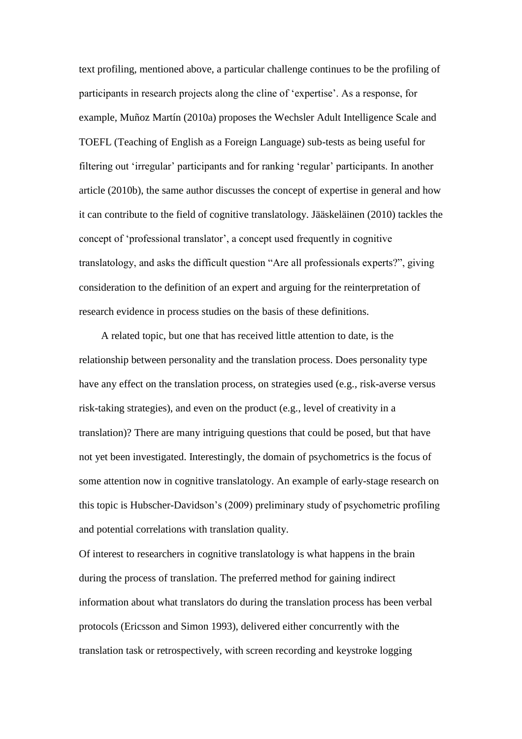text profiling, mentioned above, a particular challenge continues to be the profiling of participants in research projects along the cline of 'expertise'. As a response, for example, Muñoz Martín (2010a) proposes the Wechsler Adult Intelligence Scale and TOEFL (Teaching of English as a Foreign Language) sub-tests as being useful for filtering out 'irregular' participants and for ranking 'regular' participants. In another article (2010b), the same author discusses the concept of expertise in general and how it can contribute to the field of cognitive translatology. Jääskeläinen (2010) tackles the concept of 'professional translator', a concept used frequently in cognitive translatology, and asks the difficult question "Are all professionals experts?", giving consideration to the definition of an expert and arguing for the reinterpretation of research evidence in process studies on the basis of these definitions.

A related topic, but one that has received little attention to date, is the relationship between personality and the translation process. Does personality type have any effect on the translation process, on strategies used (e.g., risk-averse versus risk-taking strategies), and even on the product (e.g., level of creativity in a translation)? There are many intriguing questions that could be posed, but that have not yet been investigated. Interestingly, the domain of psychometrics is the focus of some attention now in cognitive translatology. An example of early-stage research on this topic is Hubscher-Davidson's (2009) preliminary study of psychometric profiling and potential correlations with translation quality.

Of interest to researchers in cognitive translatology is what happens in the brain during the process of translation. The preferred method for gaining indirect information about what translators do during the translation process has been verbal protocols (Ericsson and Simon 1993), delivered either concurrently with the translation task or retrospectively, with screen recording and keystroke logging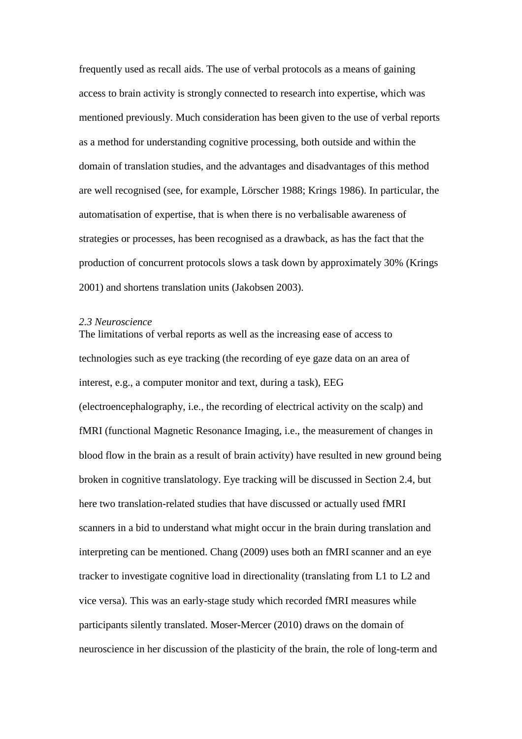frequently used as recall aids. The use of verbal protocols as a means of gaining access to brain activity is strongly connected to research into expertise, which was mentioned previously. Much consideration has been given to the use of verbal reports as a method for understanding cognitive processing, both outside and within the domain of translation studies, and the advantages and disadvantages of this method are well recognised (see, for example, Lörscher 1988; Krings 1986). In particular, the automatisation of expertise, that is when there is no verbalisable awareness of strategies or processes, has been recognised as a drawback, as has the fact that the production of concurrent protocols slows a task down by approximately 30% (Krings 2001) and shortens translation units (Jakobsen 2003).

#### *2.3 Neuroscience*

The limitations of verbal reports as well as the increasing ease of access to technologies such as eye tracking (the recording of eye gaze data on an area of interest, e.g., a computer monitor and text, during a task), EEG (electroencephalography, i.e., the recording of electrical activity on the scalp) and fMRI (functional Magnetic Resonance Imaging, i.e., the measurement of changes in blood flow in the brain as a result of brain activity) have resulted in new ground being broken in cognitive translatology. Eye tracking will be discussed in Section 2.4, but here two translation-related studies that have discussed or actually used fMRI scanners in a bid to understand what might occur in the brain during translation and interpreting can be mentioned. Chang (2009) uses both an fMRI scanner and an eye tracker to investigate cognitive load in directionality (translating from L1 to L2 and vice versa). This was an early-stage study which recorded fMRI measures while participants silently translated. Moser-Mercer (2010) draws on the domain of neuroscience in her discussion of the plasticity of the brain, the role of long-term and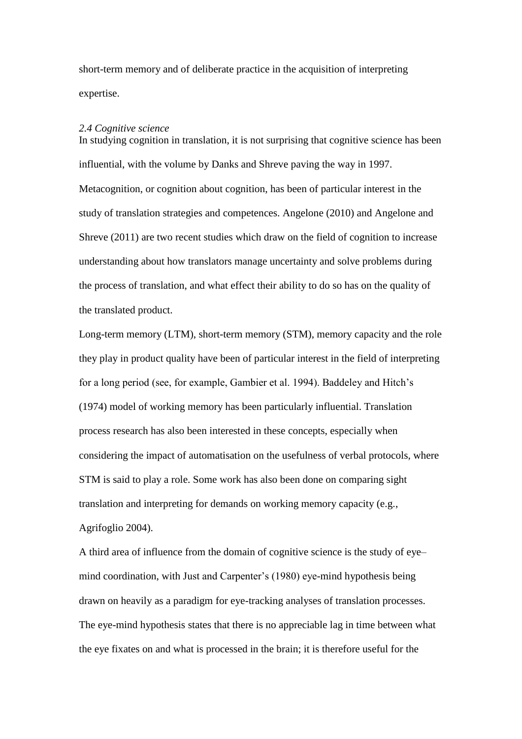short-term memory and of deliberate practice in the acquisition of interpreting expertise.

#### *2.4 Cognitive science*

In studying cognition in translation, it is not surprising that cognitive science has been influential, with the volume by Danks and Shreve paving the way in 1997. Metacognition, or cognition about cognition, has been of particular interest in the study of translation strategies and competences. Angelone (2010) and Angelone and Shreve (2011) are two recent studies which draw on the field of cognition to increase understanding about how translators manage uncertainty and solve problems during the process of translation, and what effect their ability to do so has on the quality of the translated product.

Long-term memory (LTM), short-term memory (STM), memory capacity and the role they play in product quality have been of particular interest in the field of interpreting for a long period (see, for example, Gambier et al. 1994). Baddeley and Hitch's (1974) model of working memory has been particularly influential. Translation process research has also been interested in these concepts, especially when considering the impact of automatisation on the usefulness of verbal protocols, where STM is said to play a role. Some work has also been done on comparing sight translation and interpreting for demands on working memory capacity (e.g., Agrifoglio 2004).

A third area of influence from the domain of cognitive science is the study of eye– mind coordination, with Just and Carpenter's (1980) eye-mind hypothesis being drawn on heavily as a paradigm for eye-tracking analyses of translation processes. The eye-mind hypothesis states that there is no appreciable lag in time between what the eye fixates on and what is processed in the brain; it is therefore useful for the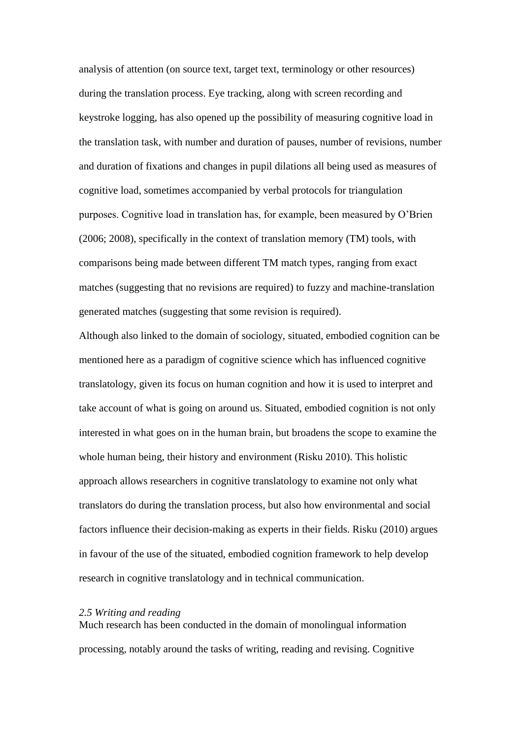analysis of attention (on source text, target text, terminology or other resources) during the translation process. Eye tracking, along with screen recording and keystroke logging, has also opened up the possibility of measuring cognitive load in the translation task, with number and duration of pauses, number of revisions, number and duration of fixations and changes in pupil dilations all being used as measures of cognitive load, sometimes accompanied by verbal protocols for triangulation purposes. Cognitive load in translation has, for example, been measured by O'Brien (2006; 2008), specifically in the context of translation memory (TM) tools, with comparisons being made between different TM match types, ranging from exact matches (suggesting that no revisions are required) to fuzzy and machine-translation generated matches (suggesting that some revision is required).

Although also linked to the domain of sociology, situated, embodied cognition can be mentioned here as a paradigm of cognitive science which has influenced cognitive translatology, given its focus on human cognition and how it is used to interpret and take account of what is going on around us. Situated, embodied cognition is not only interested in what goes on in the human brain, but broadens the scope to examine the whole human being, their history and environment (Risku 2010). This holistic approach allows researchers in cognitive translatology to examine not only what translators do during the translation process, but also how environmental and social factors influence their decision-making as experts in their fields. Risku (2010) argues in favour of the use of the situated, embodied cognition framework to help develop research in cognitive translatology and in technical communication.

### *2.5 Writing and reading*

Much research has been conducted in the domain of monolingual information processing, notably around the tasks of writing, reading and revising. Cognitive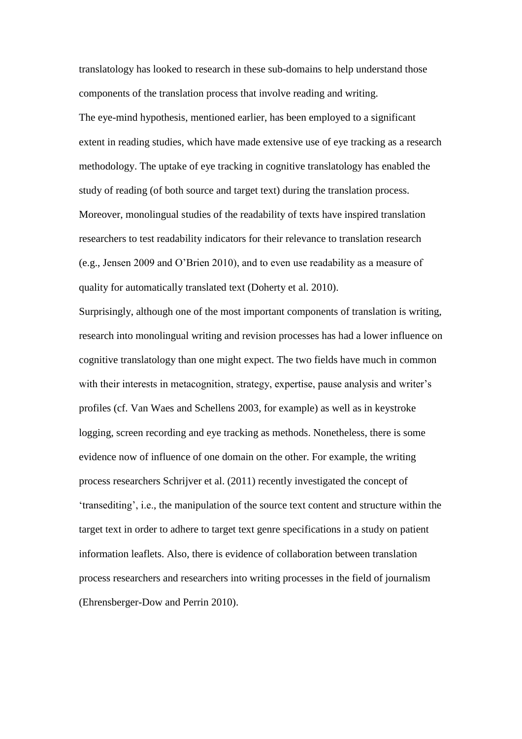translatology has looked to research in these sub-domains to help understand those components of the translation process that involve reading and writing.

The eye-mind hypothesis, mentioned earlier, has been employed to a significant extent in reading studies, which have made extensive use of eye tracking as a research methodology. The uptake of eye tracking in cognitive translatology has enabled the study of reading (of both source and target text) during the translation process. Moreover, monolingual studies of the readability of texts have inspired translation researchers to test readability indicators for their relevance to translation research (e.g., Jensen 2009 and O'Brien 2010), and to even use readability as a measure of quality for automatically translated text (Doherty et al. 2010).

Surprisingly, although one of the most important components of translation is writing, research into monolingual writing and revision processes has had a lower influence on cognitive translatology than one might expect. The two fields have much in common with their interests in metacognition, strategy, expertise, pause analysis and writer's profiles (cf. Van Waes and Schellens 2003, for example) as well as in keystroke logging, screen recording and eye tracking as methods. Nonetheless, there is some evidence now of influence of one domain on the other. For example, the writing process researchers Schrijver et al. (2011) recently investigated the concept of 'transediting', i.e., the manipulation of the source text content and structure within the target text in order to adhere to target text genre specifications in a study on patient information leaflets. Also, there is evidence of collaboration between translation process researchers and researchers into writing processes in the field of journalism (Ehrensberger-Dow and Perrin 2010).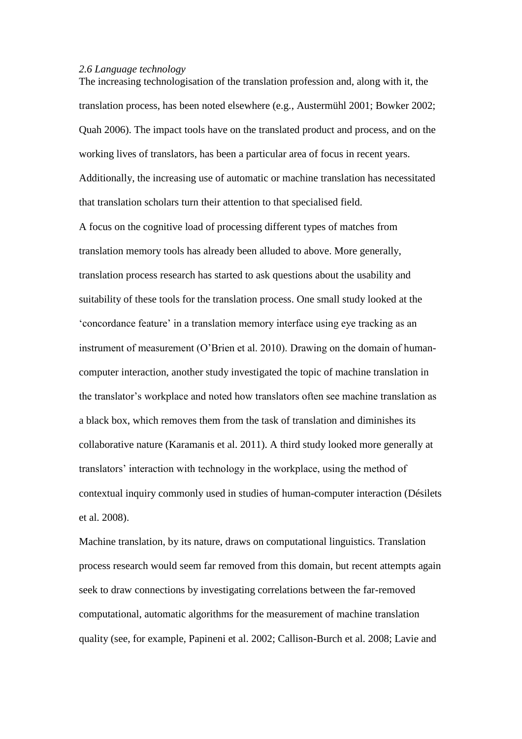#### *2.6 Language technology*

The increasing technologisation of the translation profession and, along with it, the translation process, has been noted elsewhere (e.g., Austermühl 2001; Bowker 2002; Quah 2006). The impact tools have on the translated product and process, and on the working lives of translators, has been a particular area of focus in recent years. Additionally, the increasing use of automatic or machine translation has necessitated that translation scholars turn their attention to that specialised field.

A focus on the cognitive load of processing different types of matches from translation memory tools has already been alluded to above. More generally, translation process research has started to ask questions about the usability and suitability of these tools for the translation process. One small study looked at the 'concordance feature' in a translation memory interface using eye tracking as an instrument of measurement (O'Brien et al. 2010). Drawing on the domain of humancomputer interaction, another study investigated the topic of machine translation in the translator's workplace and noted how translators often see machine translation as a black box, which removes them from the task of translation and diminishes its collaborative nature (Karamanis et al. 2011). A third study looked more generally at translators' interaction with technology in the workplace, using the method of contextual inquiry commonly used in studies of human-computer interaction (Désilets et al. 2008).

Machine translation, by its nature, draws on computational linguistics. Translation process research would seem far removed from this domain, but recent attempts again seek to draw connections by investigating correlations between the far-removed computational, automatic algorithms for the measurement of machine translation quality (see, for example, Papineni et al. 2002; Callison-Burch et al. 2008; Lavie and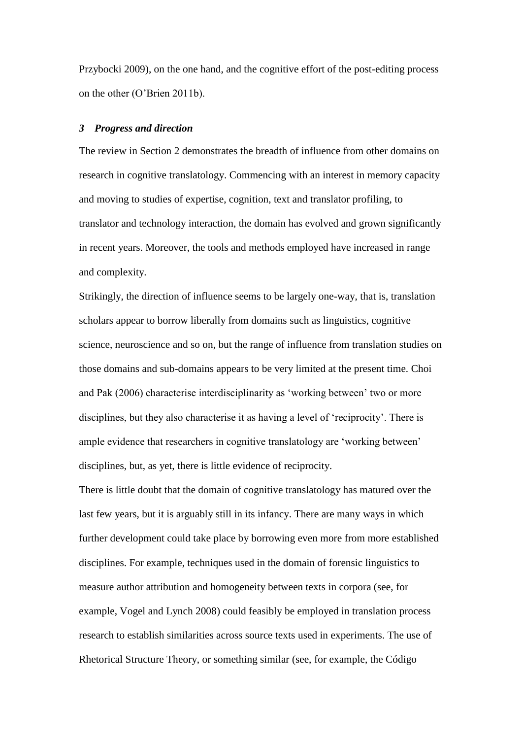Przybocki 2009), on the one hand, and the cognitive effort of the post-editing process on the other (O'Brien 2011b).

#### *3 Progress and direction*

The review in Section 2 demonstrates the breadth of influence from other domains on research in cognitive translatology. Commencing with an interest in memory capacity and moving to studies of expertise, cognition, text and translator profiling, to translator and technology interaction, the domain has evolved and grown significantly in recent years. Moreover, the tools and methods employed have increased in range and complexity.

Strikingly, the direction of influence seems to be largely one-way, that is, translation scholars appear to borrow liberally from domains such as linguistics, cognitive science, neuroscience and so on, but the range of influence from translation studies on those domains and sub-domains appears to be very limited at the present time. Choi and Pak (2006) characterise interdisciplinarity as 'working between' two or more disciplines, but they also characterise it as having a level of 'reciprocity'. There is ample evidence that researchers in cognitive translatology are 'working between' disciplines, but, as yet, there is little evidence of reciprocity.

There is little doubt that the domain of cognitive translatology has matured over the last few years, but it is arguably still in its infancy. There are many ways in which further development could take place by borrowing even more from more established disciplines. For example, techniques used in the domain of forensic linguistics to measure author attribution and homogeneity between texts in corpora (see, for example, Vogel and Lynch 2008) could feasibly be employed in translation process research to establish similarities across source texts used in experiments. The use of Rhetorical Structure Theory, or something similar (see, for example, the Código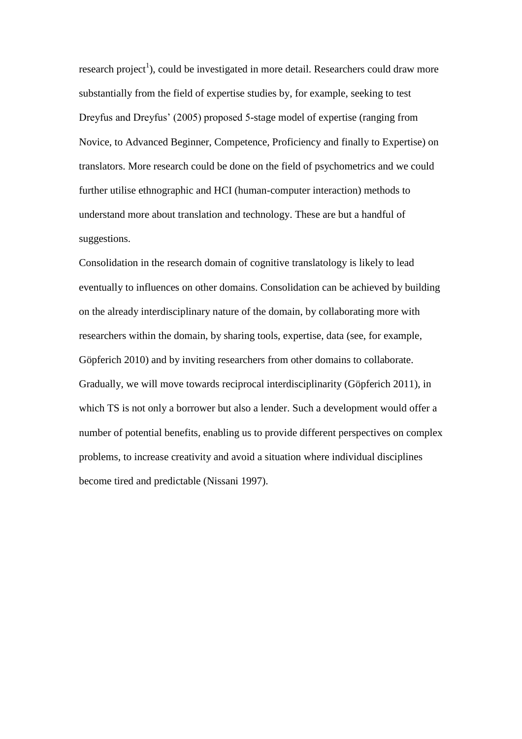research project<sup>1</sup>), could be investigated in more detail. Researchers could draw more substantially from the field of expertise studies by, for example, seeking to test Dreyfus and Dreyfus' (2005) proposed 5-stage model of expertise (ranging from Novice, to Advanced Beginner, Competence, Proficiency and finally to Expertise) on translators. More research could be done on the field of psychometrics and we could further utilise ethnographic and HCI (human-computer interaction) methods to understand more about translation and technology. These are but a handful of suggestions.

Consolidation in the research domain of cognitive translatology is likely to lead eventually to influences on other domains. Consolidation can be achieved by building on the already interdisciplinary nature of the domain, by collaborating more with researchers within the domain, by sharing tools, expertise, data (see, for example, Göpferich 2010) and by inviting researchers from other domains to collaborate. Gradually, we will move towards reciprocal interdisciplinarity (Göpferich 2011), in which TS is not only a borrower but also a lender. Such a development would offer a number of potential benefits, enabling us to provide different perspectives on complex problems, to increase creativity and avoid a situation where individual disciplines become tired and predictable (Nissani 1997).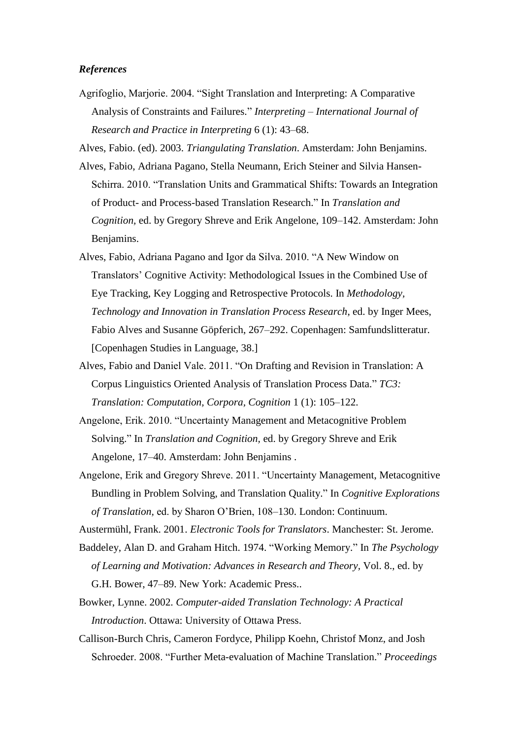## *References*

Agrifoglio, Marjorie. 2004. "Sight Translation and Interpreting: A Comparative Analysis of Constraints and Failures." *Interpreting – International Journal of Research and Practice in Interpreting* 6 (1): 43–68.

Alves, Fabio. (ed). 2003. *Triangulating Translation*. Amsterdam: John Benjamins.

- Alves, Fabio, Adriana Pagano, Stella Neumann, Erich Steiner and Silvia Hansen-Schirra. 2010. "Translation Units and Grammatical Shifts: Towards an Integration of Product- and Process-based Translation Research." In *Translation and Cognition,* ed. by Gregory Shreve and Erik Angelone, 109–142. Amsterdam: John Benjamins.
- Alves, Fabio, Adriana Pagano and Igor da Silva. 2010. "A New Window on Translators' Cognitive Activity: Methodological Issues in the Combined Use of Eye Tracking, Key Logging and Retrospective Protocols. In *Methodology, Technology and Innovation in Translation Process Research*, ed. by Inger Mees, Fabio Alves and Susanne Göpferich, 267–292. Copenhagen: Samfundslitteratur. [Copenhagen Studies in Language, 38.]
- Alves, Fabio and Daniel Vale. 2011. "On Drafting and Revision in Translation: A Corpus Linguistics Oriented Analysis of Translation Process Data." *TC3: Translation: Computation, Corpora, Cognition* 1 (1): 105–122.
- Angelone, Erik. 2010. "Uncertainty Management and Metacognitive Problem Solving." In *Translation and Cognition,* ed. by Gregory Shreve and Erik Angelone, 17–40. Amsterdam: John Benjamins .
- Angelone, Erik and Gregory Shreve. 2011. "Uncertainty Management, Metacognitive Bundling in Problem Solving, and Translation Quality." In *Cognitive Explorations of Translation,* ed. by Sharon O'Brien, 108–130. London: Continuum.

Austermühl, Frank. 2001. *Electronic Tools for Translators*. Manchester: St. Jerome.

- Baddeley, Alan D. and Graham Hitch. 1974. "Working Memory." In *The Psychology of Learning and Motivation: Advances in Research and Theory,* Vol. 8., ed. by G.H. Bower, 47–89. New York: Academic Press..
- Bowker, Lynne. 2002. *Computer-aided Translation Technology: A Practical Introduction*. Ottawa: University of Ottawa Press.
- Callison-Burch Chris, Cameron Fordyce, Philipp Koehn, Christof Monz, and Josh Schroeder. 2008. "Further Meta-evaluation of Machine Translation." *Proceedings*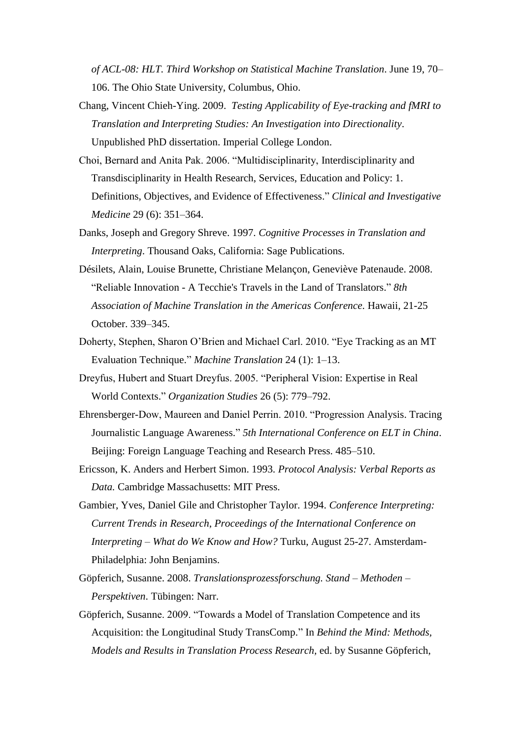*of ACL-08: HLT. Third Workshop on Statistical Machine Translation*. June 19, 70– 106. The Ohio State University, Columbus, Ohio.

- Chang, Vincent Chieh-Ying. 2009. *Testing Applicability of Eye-tracking and fMRI to Translation and Interpreting Studies: An Investigation into Directionality*. Unpublished PhD dissertation. Imperial College London.
- Choi, Bernard and Anita Pak. 2006. "Multidisciplinarity, Interdisciplinarity and Transdisciplinarity in Health Research, Services, Education and Policy: 1. Definitions, Objectives, and Evidence of Effectiveness." *Clinical and Investigative Medicine* 29 (6): 351–364.
- Danks, Joseph and Gregory Shreve. 1997. *Cognitive Processes in Translation and Interpreting*. Thousand Oaks, California: Sage Publications.
- Désilets, Alain, Louise Brunette, Christiane Melançon, Geneviève Patenaude. 2008. "Reliable Innovation - A Tecchie's Travels in the Land of Translators." *8th Association of Machine Translation in the Americas Conference*. Hawaii, 21-25 October. 339–345.
- Doherty, Stephen, Sharon O'Brien and Michael Carl. 2010. "Eye Tracking as an MT Evaluation Technique." *Machine Translation* 24 (1): 1–13.
- Dreyfus, Hubert and Stuart Dreyfus. 2005. "Peripheral Vision: Expertise in Real World Contexts." *Organization Studies* 26 (5): 779–792.
- Ehrensberger-Dow, Maureen and Daniel Perrin. 2010. "Progression Analysis. Tracing Journalistic Language Awareness." *5th International Conference on ELT in China*. Beijing: Foreign Language Teaching and Research Press. 485–510.
- Ericsson, K. Anders and Herbert Simon. 1993. *Protocol Analysis: Verbal Reports as Data.* Cambridge Massachusetts: MIT Press.
- Gambier, Yves, Daniel Gile and Christopher Taylor. 1994. *Conference Interpreting: Current Trends in Research*, *Proceedings of the International Conference on Interpreting – What do We Know and How?* Turku, August 25-27. Amsterdam-Philadelphia: John Benjamins.
- Göpferich, Susanne. 2008. *Translationsprozessforschung. Stand – Methoden – Perspektiven*. Tübingen: Narr.
- Göpferich, Susanne. 2009. "Towards a Model of Translation Competence and its Acquisition: the Longitudinal Study TransComp." In *Behind the Mind: Methods, Models and Results in Translation Process Research,* ed. by Susanne Göpferich,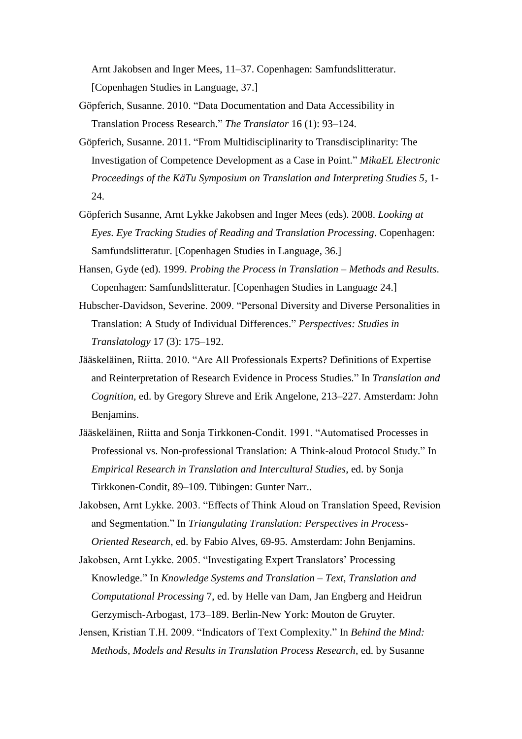Arnt Jakobsen and Inger Mees, 11–37. Copenhagen: Samfundslitteratur. [Copenhagen Studies in Language, 37.]

- Göpferich, Susanne. 2010. "Data Documentation and Data Accessibility in Translation Process Research." *The Translator* 16 (1): 93–124.
- Göpferich, Susanne. 2011. "From Multidisciplinarity to Transdisciplinarity: The Investigation of Competence Development as a Case in Point." *MikaEL Electronic Proceedings of the KäTu Symposium on Translation and Interpreting Studies 5,* 1- 24.
- Göpferich Susanne, Arnt Lykke Jakobsen and Inger Mees (eds). 2008. *Looking at Eyes. Eye Tracking Studies of Reading and Translation Processing*. Copenhagen: Samfundslitteratur. [Copenhagen Studies in Language, 36.]
- Hansen, Gyde (ed). 1999. *Probing the Process in Translation – Methods and Results*. Copenhagen: Samfundslitteratur. [Copenhagen Studies in Language 24.]
- Hubscher-Davidson, Severine. 2009. "Personal Diversity and Diverse Personalities in Translation: A Study of Individual Differences." *Perspectives: Studies in Translatology* 17 (3): 175–192.
- Jääskeläinen, Riitta. 2010. "Are All Professionals Experts? Definitions of Expertise and Reinterpretation of Research Evidence in Process Studies." In *Translation and Cognition,* ed. by Gregory Shreve and Erik Angelone, 213–227. Amsterdam: John Benjamins.
- Jääskeläinen, Riitta and Sonja Tirkkonen-Condit. 1991. "Automatised Processes in Professional vs. Non-professional Translation: A Think-aloud Protocol Study." In *Empirical Research in Translation and Intercultural Studies*, ed. by Sonja Tirkkonen-Condit, 89–109. Tübingen: Gunter Narr..

Jakobsen, Arnt Lykke. 2003. "Effects of Think Aloud on Translation Speed, Revision and Segmentation." In *Triangulating Translation: Perspectives in Process-Oriented Research*, ed. by Fabio Alves, 69-95. Amsterdam: John Benjamins.

Jakobsen, Arnt Lykke. 2005. "Investigating Expert Translators' Processing Knowledge." In *Knowledge Systems and Translation – Text, Translation and Computational Processing* 7, ed. by Helle van Dam, Jan Engberg and Heidrun Gerzymisch-Arbogast, 173–189. Berlin-New York: Mouton de Gruyter.

Jensen, Kristian T.H. 2009. "Indicators of Text Complexity." In *Behind the Mind: Methods, Models and Results in Translation Process Research*, ed. by Susanne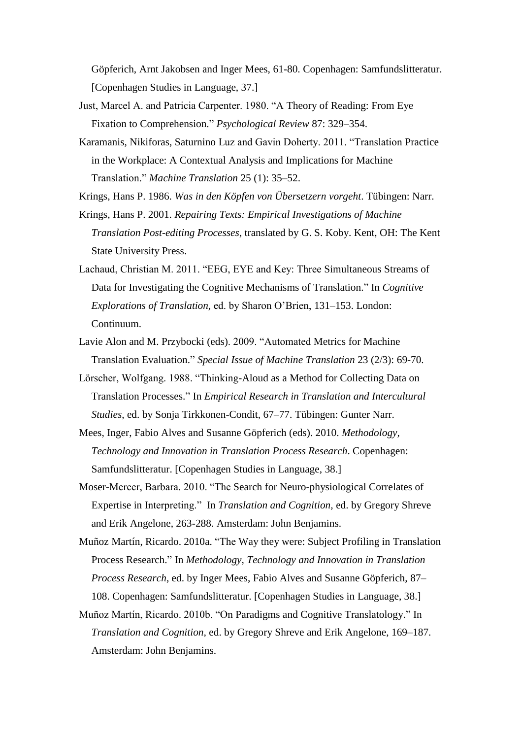Göpferich, Arnt Jakobsen and Inger Mees, 61-80. Copenhagen: Samfundslitteratur. [Copenhagen Studies in Language, 37.]

- Just, Marcel A. and Patricia Carpenter. 1980. "A Theory of Reading: From Eye Fixation to Comprehension." *Psychological Review* 87: 329–354.
- Karamanis, Nikiforas, Saturnino Luz and Gavin Doherty. 2011. "Translation Practice in the Workplace: A Contextual Analysis and Implications for Machine Translation." *Machine Translation* 25 (1): 35–52.

Krings, Hans P. 1986. *Was in den Köpfen von Übersetzern vorgeht*. Tübingen: Narr.

Krings, Hans P. 2001. *Repairing Texts: Empirical Investigations of Machine Translation Post-editing Processes,* translated by G. S. Koby. Kent, OH: The Kent State University Press.

- Lachaud, Christian M. 2011. "EEG, EYE and Key: Three Simultaneous Streams of Data for Investigating the Cognitive Mechanisms of Translation." In *Cognitive Explorations of Translation,* ed. by Sharon O'Brien, 131–153. London: Continuum.
- Lavie Alon and M. Przybocki (eds). 2009. "Automated Metrics for Machine Translation Evaluation." *Special Issue of Machine Translation* 23 (2/3): 69-70.
- Lörscher, Wolfgang. 1988. "Thinking-Aloud as a Method for Collecting Data on Translation Processes." In *Empirical Research in Translation and Intercultural Studies*, ed. by Sonja Tirkkonen-Condit, 67–77. Tübingen: Gunter Narr.
- Mees, Inger, Fabio Alves and Susanne Göpferich (eds). 2010. *Methodology, Technology and Innovation in Translation Process Research*. Copenhagen: Samfundslitteratur. [Copenhagen Studies in Language, 38.]
- Moser-Mercer, Barbara. 2010. "The Search for Neuro-physiological Correlates of Expertise in Interpreting." In *Translation and Cognition,* ed. by Gregory Shreve and Erik Angelone, 263-288. Amsterdam: John Benjamins.
- Muñoz Martín, Ricardo. 2010a. "The Way they were: Subject Profiling in Translation Process Research." In *Methodology, Technology and Innovation in Translation Process Research*, ed. by Inger Mees, Fabio Alves and Susanne Göpferich, 87– 108. Copenhagen: Samfundslitteratur. [Copenhagen Studies in Language, 38.]
- Muñoz Martín, Ricardo. 2010b. "On Paradigms and Cognitive Translatology." In *Translation and Cognition,* ed. by Gregory Shreve and Erik Angelone, 169–187. Amsterdam: John Benjamins.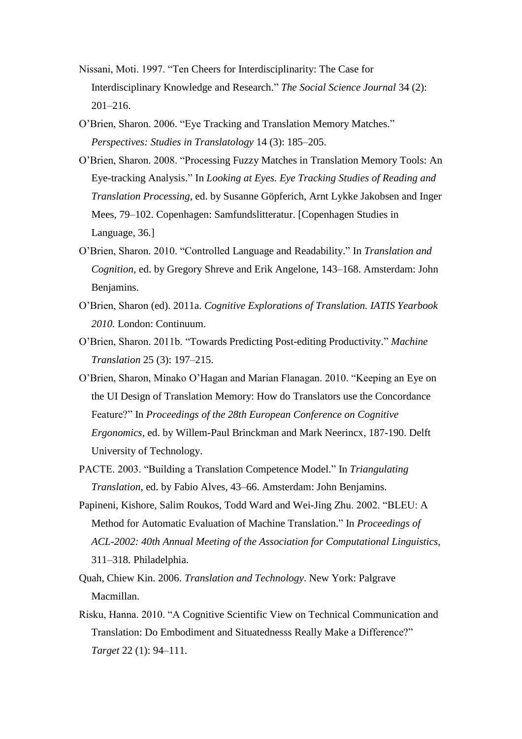- Nissani, Moti. 1997. "Ten Cheers for Interdisciplinarity: The Case for Interdisciplinary Knowledge and Research." *The Social Science Journal* 34 (2): 201–216.
- O'Brien, Sharon. 2006. "Eye Tracking and Translation Memory Matches." *Perspectives: Studies in Translatology* 14 (3): 185–205.
- O'Brien, Sharon. 2008. "Processing Fuzzy Matches in Translation Memory Tools: An Eye-tracking Analysis." In *Looking at Eyes. Eye Tracking Studies of Reading and Translation Processing*, ed. by Susanne Göpferich, Arnt Lykke Jakobsen and Inger Mees, 79–102. Copenhagen: Samfundslitteratur. [Copenhagen Studies in Language, 36.]
- O'Brien, Sharon. 2010. "Controlled Language and Readability." In *Translation and Cognition,* ed. by Gregory Shreve and Erik Angelone, 143–168. Amsterdam: John Benjamins.
- O'Brien, Sharon (ed). 2011a. *Cognitive Explorations of Translation. IATIS Yearbook 2010.* London: Continuum.
- O'Brien, Sharon. 2011b. "Towards Predicting Post-editing Productivity." *Machine Translation* 25 (3): 197–215.
- O'Brien, Sharon, Minako O'Hagan and Marian Flanagan. 2010. "Keeping an Eye on the UI Design of Translation Memory: How do Translators use the Concordance Feature?" In *Proceedings of the 28th European Conference on Cognitive Ergonomics*, ed. by Willem-Paul Brinckman and Mark Neerincx, 187-190. Delft University of Technology.
- PACTE. 2003. "Building a Translation Competence Model." In *Triangulating Translation*, ed. by Fabio Alves, 43–66. Amsterdam: John Benjamins.
- Papineni, Kishore, Salim Roukos, Todd Ward and Wei-Jing Zhu. 2002. "BLEU: A Method for Automatic Evaluation of Machine Translation." In *Proceedings of ACL-2002: 40th Annual Meeting of the Association for Computational Linguistics*, 311–318*.* Philadelphia.
- Quah, Chiew Kin. 2006. *Translation and Technology*. New York: Palgrave Macmillan.
- Risku, Hanna. 2010. "A Cognitive Scientific View on Technical Communication and Translation: Do Embodiment and Situatednesss Really Make a Difference?" *Target* 22 (1): 94–111.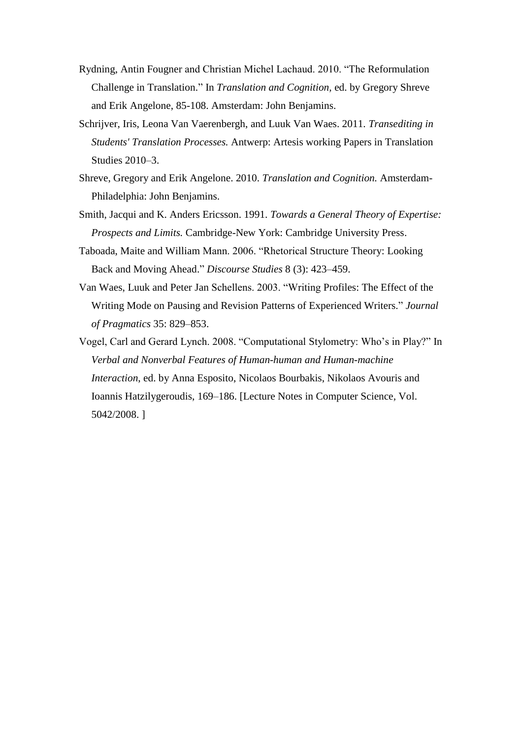- Rydning, Antin Fougner and Christian Michel Lachaud. 2010. "The Reformulation Challenge in Translation." In *Translation and Cognition,* ed. by Gregory Shreve and Erik Angelone, 85-108. Amsterdam: John Benjamins.
- Schrijver, Iris, Leona Van Vaerenbergh, and Luuk Van Waes. 2011. *Transediting in Students' Translation Processes.* Antwerp: Artesis working Papers in Translation Studies 2010–3.
- Shreve, Gregory and Erik Angelone. 2010. *Translation and Cognition.* Amsterdam-Philadelphia: John Benjamins.
- Smith, Jacqui and K. Anders Ericsson. 1991. *Towards a General Theory of Expertise: Prospects and Limits.* Cambridge-New York: Cambridge University Press.
- Taboada, Maite and William Mann. 2006. "Rhetorical Structure Theory: Looking Back and Moving Ahead." *Discourse Studies* 8 (3): 423–459.
- Van Waes, Luuk and Peter Jan Schellens. 2003. "Writing Profiles: The Effect of the Writing Mode on Pausing and Revision Patterns of Experienced Writers." *Journal of Pragmatics* 35: 829–853.
- Vogel, Carl and Gerard Lynch. 2008. "Computational Stylometry: Who's in Play?" In *Verbal and Nonverbal Features of Human-human and Human-machine Interaction*, ed. by Anna Esposito, Nicolaos Bourbakis, Nikolaos Avouris and Ioannis Hatzilygeroudis, 169–186. [\[Lecture Notes in Computer Science](http://www.springerlink.com/content/0302-9743/)*,* Vol. 5042/2008. ]